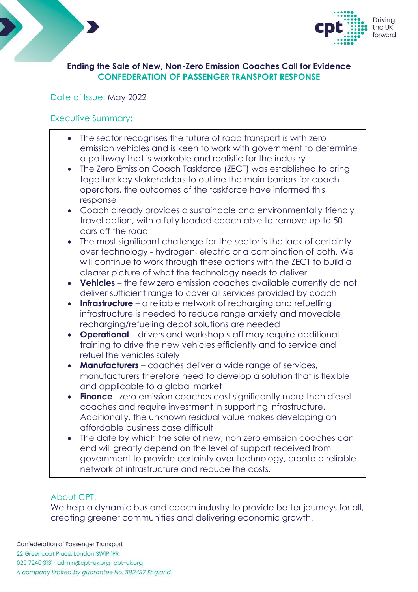



## **Ending the Sale of New, Non-Zero Emission Coaches Call for Evidence CONFEDERATION OF PASSENGER TRANSPORT RESPONSE**

# Date of Issue: May 2022

# Executive Summary:

- The sector recognises the future of road transport is with zero emission vehicles and is keen to work with government to determine a pathway that is workable and realistic for the industry
- The Zero Emission Coach Taskforce (ZECT) was established to bring together key stakeholders to outline the main barriers for coach operators, the outcomes of the taskforce have informed this response
- Coach already provides a sustainable and environmentally friendly travel option, with a fully loaded coach able to remove up to 50 cars off the road
- The most significant challenge for the sector is the lack of certainty over technology - hydrogen, electric or a combination of both. We will continue to work through these options with the ZECT to build a clearer picture of what the technology needs to deliver
- **Vehicles** the few zero emission coaches available currently do not deliver sufficient range to cover all services provided by coach
- **Infrastructure** a reliable network of recharging and refuelling infrastructure is needed to reduce range anxiety and moveable recharging/refueling depot solutions are needed
- **Operational** drivers and workshop staff may require additional training to drive the new vehicles efficiently and to service and refuel the vehicles safely
- **Manufacturers** coaches deliver a wide range of services, manufacturers therefore need to develop a solution that is flexible and applicable to a global market
- **Finance** –zero emission coaches cost significantly more than diesel coaches and require investment in supporting infrastructure. Additionally, the unknown residual value makes developing an affordable business case difficult
- The date by which the sale of new, non zero emission coaches can end will greatly depend on the level of support received from government to provide certainty over technology, create a reliable network of infrastructure and reduce the costs.

# About CPT:

We help a dynamic bus and coach industry to provide better journeys for all, creating greener communities and delivering economic growth.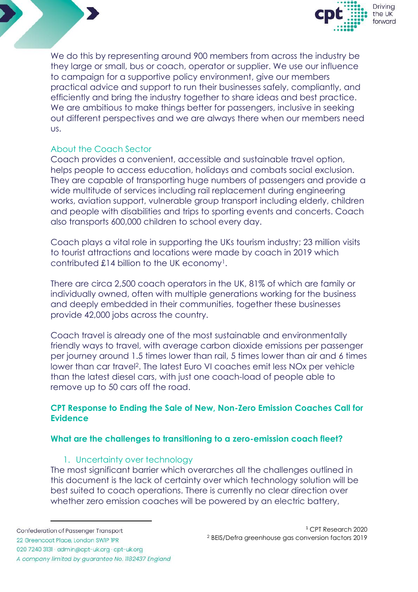



We do this by representing around 900 members from across the industry be they large or small, bus or coach, operator or supplier. We use our influence to campaign for a supportive policy environment, give our members practical advice and support to run their businesses safely, compliantly, and efficiently and bring the industry together to share ideas and best practice. We are ambitious to make things better for passengers, inclusive in seeking out different perspectives and we are always there when our members need us.

# About the Coach Sector

Coach provides a convenient, accessible and sustainable travel option, helps people to access education, holidays and combats social exclusion. They are capable of transporting huge numbers of passengers and provide a wide multitude of services including rail replacement during engineering works, aviation support, vulnerable group transport including elderly, children and people with disabilities and trips to sporting events and concerts. Coach also transports 600,000 children to school every day.

Coach plays a vital role in supporting the UKs tourism industry; 23 million visits to tourist attractions and locations were made by coach in 2019 which contributed £14 billion to the UK economy1.

There are circa 2,500 coach operators in the UK, 81% of which are family or individually owned, often with multiple generations working for the business and deeply embedded in their communities, together these businesses provide 42,000 jobs across the country.

Coach travel is already one of the most sustainable and environmentally friendly ways to travel, with average carbon dioxide emissions per passenger per journey around 1.5 times lower than rail, 5 times lower than air and 6 times lower than car travel2. The latest Euro VI coaches emit less NOx per vehicle than the latest diesel cars, with just one coach-load of people able to remove up to 50 cars off the road.

# **CPT Response to Ending the Sale of New, Non-Zero Emission Coaches Call for Evidence**

## **What are the challenges to transitioning to a zero-emission coach fleet?**

## 1. Uncertainty over technology

The most significant barrier which overarches all the challenges outlined in this document is the lack of certainty over which technology solution will be best suited to coach operations. There is currently no clear direction over whether zero emission coaches will be powered by an electric battery,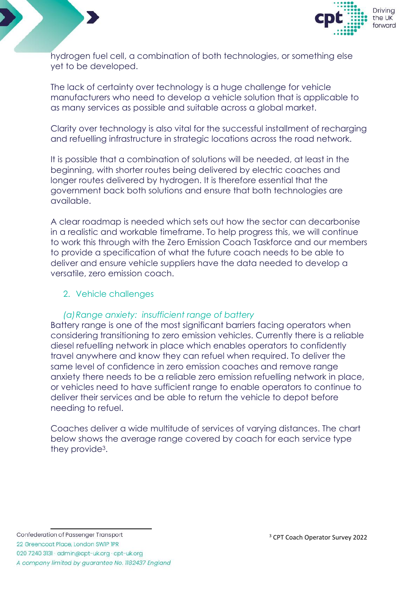



hydrogen fuel cell, a combination of both technologies, or something else yet to be developed.

The lack of certainty over technology is a huge challenge for vehicle manufacturers who need to develop a vehicle solution that is applicable to as many services as possible and suitable across a global market.

Clarity over technology is also vital for the successful installment of recharging and refuelling infrastructure in strategic locations across the road network.

It is possible that a combination of solutions will be needed, at least in the beginning, with shorter routes being delivered by electric coaches and longer routes delivered by hydrogen. It is therefore essential that the government back both solutions and ensure that both technologies are available.

A clear roadmap is needed which sets out how the sector can decarbonise in a realistic and workable timeframe. To help progress this, we will continue to work this through with the Zero Emission Coach Taskforce and our members to provide a specification of what the future coach needs to be able to deliver and ensure vehicle suppliers have the data needed to develop a versatile, zero emission coach.

# 2. Vehicle challenges

## *(a)Range anxiety: insufficient range of battery*

Battery range is one of the most significant barriers facing operators when considering transitioning to zero emission vehicles. Currently there is a reliable diesel refuelling network in place which enables operators to confidently travel anywhere and know they can refuel when required. To deliver the same level of confidence in zero emission coaches and remove range anxiety there needs to be a reliable zero emission refuelling network in place, or vehicles need to have sufficient range to enable operators to continue to deliver their services and be able to return the vehicle to depot before needing to refuel.

Coaches deliver a wide multitude of services of varying distances. The chart below shows the average range covered by coach for each service type they provide3.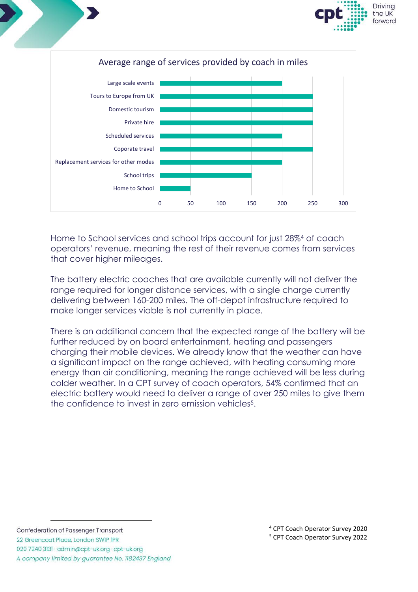





Home to School services and school trips account for just 28%<sup>4</sup> of coach operators' revenue, meaning the rest of their revenue comes from services that cover higher mileages.

The battery electric coaches that are available currently will not deliver the range required for longer distance services, with a single charge currently delivering between 160-200 miles. The off-depot infrastructure required to make longer services viable is not currently in place.

There is an additional concern that the expected range of the battery will be further reduced by on board entertainment, heating and passengers charging their mobile devices. We already know that the weather can have a significant impact on the range achieved, with heating consuming more energy than air conditioning, meaning the range achieved will be less during colder weather. In a CPT survey of coach operators, 54% confirmed that an electric battery would need to deliver a range of over 250 miles to give them the confidence to invest in zero emission vehicles<sup>5</sup>.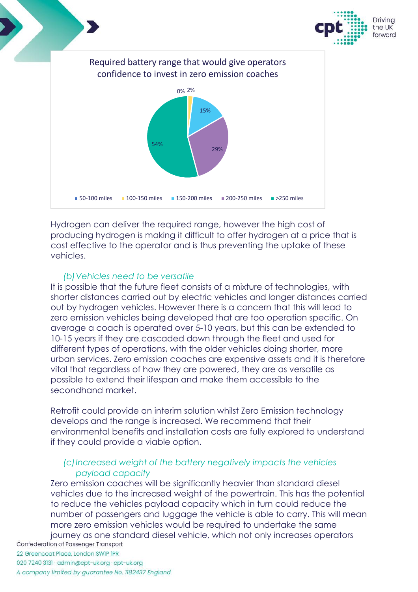

Hydrogen can deliver the required range, however the high cost of producing hydrogen is making it difficult to offer hydrogen at a price that is cost effective to the operator and is thus preventing the uptake of these vehicles.

# *(b)Vehicles need to be versatile*

It is possible that the future fleet consists of a mixture of technologies, with shorter distances carried out by electric vehicles and longer distances carried out by hydrogen vehicles. However there is a concern that this will lead to zero emission vehicles being developed that are too operation specific. On average a coach is operated over 5-10 years, but this can be extended to 10-15 years if they are cascaded down through the fleet and used for different types of operations, with the older vehicles doing shorter, more urban services. Zero emission coaches are expensive assets and it is therefore vital that regardless of how they are powered, they are as versatile as possible to extend their lifespan and make them accessible to the secondhand market.

Retrofit could provide an interim solution whilst Zero Emission technology develops and the range is increased. We recommend that their environmental benefits and installation costs are fully explored to understand if they could provide a viable option.

# *(c)Increased weight of the battery negatively impacts the vehicles payload capacity*

Zero emission coaches will be significantly heavier than standard diesel vehicles due to the increased weight of the powertrain. This has the potential to reduce the vehicles payload capacity which in turn could reduce the number of passengers and luggage the vehicle is able to carry. This will mean more zero emission vehicles would be required to undertake the same

journey as one standard diesel vehicle, which not only increases operators Confederation of Passenger Transport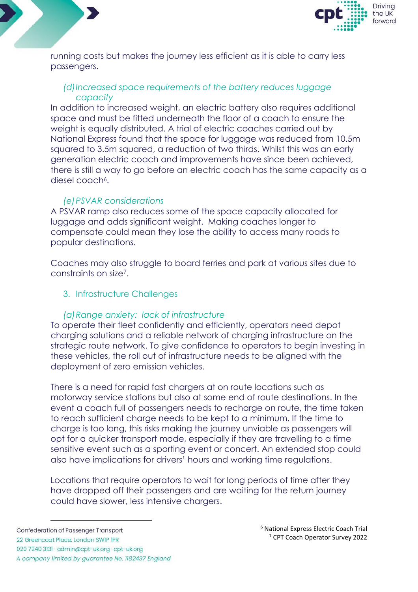



running costs but makes the journey less efficient as it is able to carry less passengers.

# *(d)Increased space requirements of the battery reduces luggage capacity*

In addition to increased weight, an electric battery also requires additional space and must be fitted underneath the floor of a coach to ensure the weight is equally distributed. A trial of electric coaches carried out by National Express found that the space for luggage was reduced from 10.5m squared to 3.5m squared, a reduction of two thirds. Whilst this was an early generation electric coach and improvements have since been achieved, there is still a way to go before an electric coach has the same capacity as a diesel coach<sup>6</sup>.

## *(e)PSVAR considerations*

A PSVAR ramp also reduces some of the space capacity allocated for luggage and adds significant weight. Making coaches longer to compensate could mean they lose the ability to access many roads to popular destinations.

Coaches may also struggle to board ferries and park at various sites due to constraints on size7.

## 3. Infrastructure Challenges

## *(a)Range anxiety: lack of infrastructure*

To operate their fleet confidently and efficiently, operators need depot charging solutions and a reliable network of charging infrastructure on the strategic route network. To give confidence to operators to begin investing in these vehicles, the roll out of infrastructure needs to be aligned with the deployment of zero emission vehicles.

There is a need for rapid fast chargers at on route locations such as motorway service stations but also at some end of route destinations. In the event a coach full of passengers needs to recharge on route, the time taken to reach sufficient charge needs to be kept to a minimum. If the time to charge is too long, this risks making the journey unviable as passengers will opt for a quicker transport mode, especially if they are travelling to a time sensitive event such as a sporting event or concert. An extended stop could also have implications for drivers' hours and working time regulations.

Locations that require operators to wait for long periods of time after they have dropped off their passengers and are waiting for the return journey could have slower, less intensive chargers.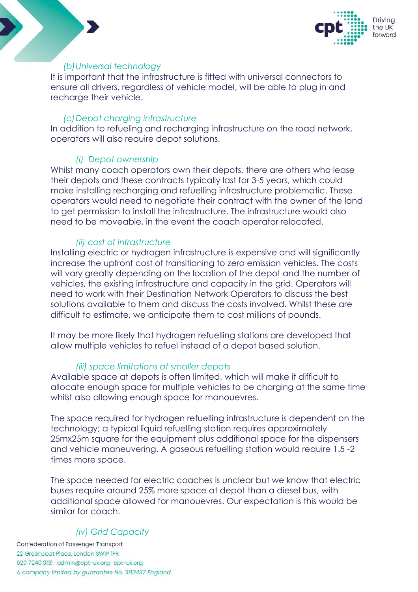

## *(b)Universal technology*

It is important that the infrastructure is fitted with universal connectors to ensure all drivers, regardless of vehicle model, will be able to plug in and recharge their vehicle.

## *(c)Depot charging infrastructure*

In addition to refueling and recharging infrastructure on the road network, operators will also require depot solutions.

# *(i) Depot ownership*

Whilst many coach operators own their depots, there are others who lease their depots and these contracts typically last for 3-5 years, which could make installing recharging and refuelling infrastructure problematic. These operators would need to negotiate their contract with the owner of the land to get permission to install the infrastructure. The infrastructure would also need to be moveable, in the event the coach operator relocated.

# *(ii) cost of infrastructure*

Installing electric or hydrogen infrastructure is expensive and will significantly increase the upfront cost of transitioning to zero emission vehicles. The costs will vary greatly depending on the location of the depot and the number of vehicles, the existing infrastructure and capacity in the grid. Operators will need to work with their Destination Network Operators to discuss the best solutions available to them and discuss the costs involved. Whilst these are difficult to estimate, we anticipate them to cost millions of pounds.

It may be more likely that hydrogen refuelling stations are developed that allow multiple vehicles to refuel instead of a depot based solution.

# *(iii) space limitations at smaller depots*

Available space at depots is often limited, which will make it difficult to allocate enough space for multiple vehicles to be charging at the same time whilst also allowing enough space for manouevres.

The space required for hydrogen refuelling infrastructure is dependent on the technology; a typical liquid refuelling station requires approximately 25mx25m square for the equipment plus additional space for the dispensers and vehicle maneuvering. A gaseous refuelling station would require 1.5 -2 times more space.

The space needed for electric coaches is unclear but we know that electric buses require around 25% more space at depot than a diesel bus, with additional space allowed for manouevres. Our expectation is this would be similar for coach.

# *(iv) Grid Capacity*

Confederation of Passenger Transport 22 Greencoat Place, London SWIP IPR 020 7240 3131 · admin@cpt-uk.org · cpt-uk.org A company limited by guarantee No. 1182437 England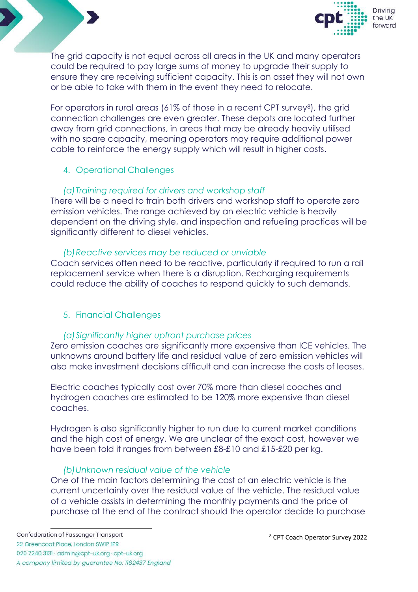



The grid capacity is not equal across all areas in the UK and many operators could be required to pay large sums of money to upgrade their supply to ensure they are receiving sufficient capacity. This is an asset they will not own or be able to take with them in the event they need to relocate.

For operators in rural areas (61% of those in a recent CPT survey<sup>8</sup>), the grid connection challenges are even greater. These depots are located further away from grid connections, in areas that may be already heavily utilised with no spare capacity, meaning operators may require additional power cable to reinforce the energy supply which will result in higher costs.

## 4. Operational Challenges

## *(a)Training required for drivers and workshop staff*

There will be a need to train both drivers and workshop staff to operate zero emission vehicles. The range achieved by an electric vehicle is heavily dependent on the driving style, and inspection and refueling practices will be significantly different to diesel vehicles.

## *(b)Reactive services may be reduced or unviable*

Coach services often need to be reactive, particularly if required to run a rail replacement service when there is a disruption. Recharging requirements could reduce the ability of coaches to respond quickly to such demands.

# 5. Financial Challenges

## *(a)Significantly higher upfront purchase prices*

Zero emission coaches are significantly more expensive than ICE vehicles. The unknowns around battery life and residual value of zero emission vehicles will also make investment decisions difficult and can increase the costs of leases.

Electric coaches typically cost over 70% more than diesel coaches and hydrogen coaches are estimated to be 120% more expensive than diesel coaches.

Hydrogen is also significantly higher to run due to current market conditions and the high cost of energy. We are unclear of the exact cost, however we have been told it ranges from between £8-£10 and £15-£20 per kg.

## *(b)Unknown residual value of the vehicle*

One of the main factors determining the cost of an electric vehicle is the current uncertainty over the residual value of the vehicle. The residual value of a vehicle assists in determining the monthly payments and the price of purchase at the end of the contract should the operator decide to purchase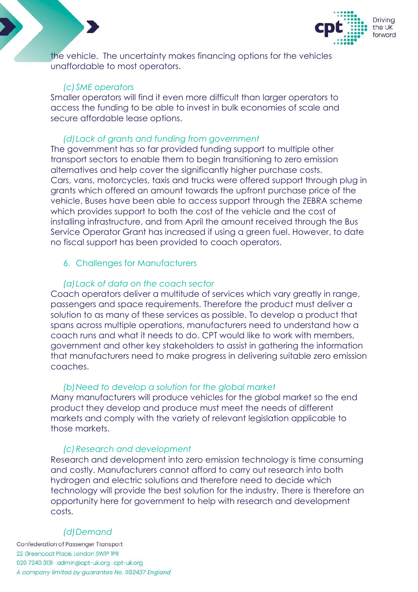

the vehicle. The uncertainty makes financing options for the vehicles unaffordable to most operators.

#### *(c)SME operators*

Smaller operators will find it even more difficult than larger operators to access the funding to be able to invest in bulk economies of scale and secure affordable lease options.

#### *(d)Lack of grants and funding from government*

The government has so far provided funding support to multiple other transport sectors to enable them to begin transitioning to zero emission alternatives and help cover the significantly higher purchase costs. Cars, vans, motorcycles, taxis and trucks were offered support through plug in grants which offered an amount towards the upfront purchase price of the vehicle. Buses have been able to access support through the ZEBRA scheme which provides support to both the cost of the vehicle and the cost of installing infrastructure, and from April the amount received through the Bus Service Operator Grant has increased if using a green fuel. However, to date no fiscal support has been provided to coach operators.

#### 6. Challenges for Manufacturers

#### *(a)Lack of data on the coach sector*

Coach operators deliver a multitude of services which vary greatly in range, passengers and space requirements. Therefore the product must deliver a solution to as many of these services as possible. To develop a product that spans across multiple operations, manufacturers need to understand how a coach runs and what it needs to do. CPT would like to work with members, government and other key stakeholders to assist in gathering the information that manufacturers need to make progress in delivering suitable zero emission coaches.

#### *(b)Need to develop a solution for the global market*

Many manufacturers will produce vehicles for the global market so the end product they develop and produce must meet the needs of different markets and comply with the variety of relevant legislation applicable to those markets.

#### *(c)Research and development*

Research and development into zero emission technology is time consuming and costly. Manufacturers cannot afford to carry out research into both hydrogen and electric solutions and therefore need to decide which technology will provide the best solution for the industry. There is therefore an opportunity here for government to help with research and development costs.

#### *(d)Demand*

Confederation of Passenger Transport 22 Greencoat Place, London SWIP IPR 020 7240 3131 · admin@cpt-uk.org · cpt-uk.org A company limited by guarantee No. 1182437 England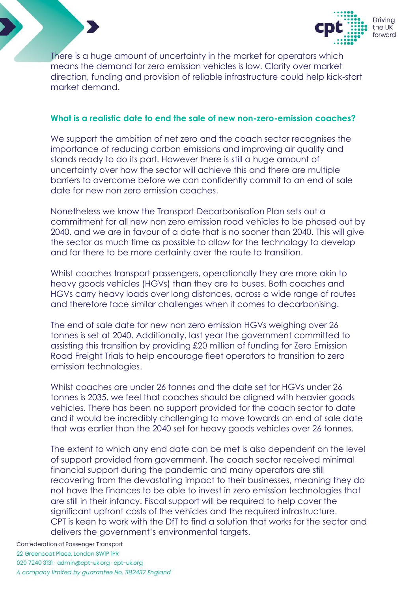



There is a huge amount of uncertainty in the market for operators which means the demand for zero emission vehicles is low. Clarity over market direction, funding and provision of reliable infrastructure could help kick-start market demand.

## **What is a realistic date to end the sale of new non-zero-emission coaches?**

We support the ambition of net zero and the coach sector recognises the importance of reducing carbon emissions and improving air quality and stands ready to do its part. However there is still a huge amount of uncertainty over how the sector will achieve this and there are multiple barriers to overcome before we can confidently commit to an end of sale date for new non zero emission coaches.

Nonetheless we know the Transport Decarbonisation Plan sets out a commitment for all new non zero emission road vehicles to be phased out by 2040, and we are in favour of a date that is no sooner than 2040. This will give the sector as much time as possible to allow for the technology to develop and for there to be more certainty over the route to transition.

Whilst coaches transport passengers, operationally they are more akin to heavy goods vehicles (HGVs) than they are to buses. Both coaches and HGVs carry heavy loads over long distances, across a wide range of routes and therefore face similar challenges when it comes to decarbonising.

The end of sale date for new non zero emission HGVs weighing over 26 tonnes is set at 2040. Additionally, last year the government committed to assisting this transition by providing £20 million of funding for Zero Emission Road Freight Trials to help encourage fleet operators to transition to zero emission technologies.

Whilst coaches are under 26 tonnes and the date set for HGVs under 26 tonnes is 2035, we feel that coaches should be aligned with heavier goods vehicles. There has been no support provided for the coach sector to date and it would be incredibly challenging to move towards an end of sale date that was earlier than the 2040 set for heavy goods vehicles over 26 tonnes.

The extent to which any end date can be met is also dependent on the level of support provided from government. The coach sector received minimal financial support during the pandemic and many operators are still recovering from the devastating impact to their businesses, meaning they do not have the finances to be able to invest in zero emission technologies that are still in their infancy. Fiscal support will be required to help cover the significant upfront costs of the vehicles and the required infrastructure. CPT is keen to work with the DfT to find a solution that works for the sector and delivers the government's environmental targets.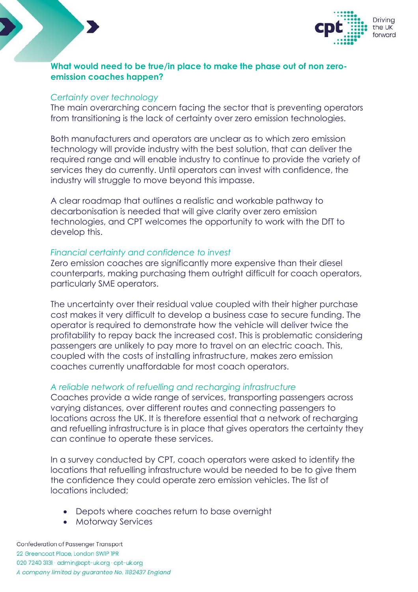



## **What would need to be true/in place to make the phase out of non zeroemission coaches happen?**

#### *Certainty over technology*

The main overarching concern facing the sector that is preventing operators from transitioning is the lack of certainty over zero emission technologies.

Both manufacturers and operators are unclear as to which zero emission technology will provide industry with the best solution, that can deliver the required range and will enable industry to continue to provide the variety of services they do currently. Until operators can invest with confidence, the industry will struggle to move beyond this impasse.

A clear roadmap that outlines a realistic and workable pathway to decarbonisation is needed that will give clarity over zero emission technologies, and CPT welcomes the opportunity to work with the DfT to develop this.

## *Financial certainty and confidence to invest*

Zero emission coaches are significantly more expensive than their diesel counterparts, making purchasing them outright difficult for coach operators, particularly SME operators.

The uncertainty over their residual value coupled with their higher purchase cost makes it very difficult to develop a business case to secure funding. The operator is required to demonstrate how the vehicle will deliver twice the profitability to repay back the increased cost. This is problematic considering passengers are unlikely to pay more to travel on an electric coach. This, coupled with the costs of installing infrastructure, makes zero emission coaches currently unaffordable for most coach operators.

# *A reliable network of refuelling and recharging infrastructure*

Coaches provide a wide range of services, transporting passengers across varying distances, over different routes and connecting passengers to locations across the UK. It is therefore essential that a network of recharging and refuelling infrastructure is in place that gives operators the certainty they can continue to operate these services.

In a survey conducted by CPT, coach operators were asked to identify the locations that refuelling infrastructure would be needed to be to give them the confidence they could operate zero emission vehicles. The list of locations included;

- Depots where coaches return to base overnight
- Motorway Services

Confederation of Passenger Transport 22 Greencoat Place, London SWIP IPR 020 7240 3131 · admin@cpt-uk.org · cpt-uk.org A company limited by guarantee No. 1182437 England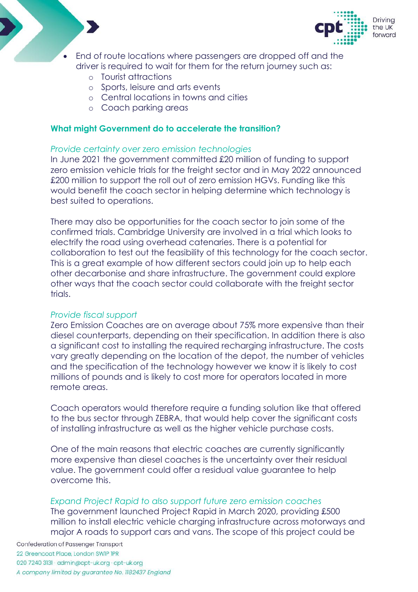



- End of route locations where passengers are dropped off and the driver is required to wait for them for the return journey such as:
	- o Tourist attractions
	- o Sports, leisure and arts events
	- o Central locations in towns and cities
	- o Coach parking areas

## **What might Government do to accelerate the transition?**

## *Provide certainty over zero emission technologies*

In June 2021 the government committed £20 million of funding to support zero emission vehicle trials for the freight sector and in May 2022 announced £200 million to support the roll out of zero emission HGVs. Funding like this would benefit the coach sector in helping determine which technology is best suited to operations.

There may also be opportunities for the coach sector to join some of the confirmed trials. Cambridge University are involved in a trial which looks to electrify the road using overhead catenaries. There is a potential for collaboration to test out the feasibility of this technology for the coach sector. This is a great example of how different sectors could join up to help each other decarbonise and share infrastructure. The government could explore other ways that the coach sector could collaborate with the freight sector trials.

## *Provide fiscal support*

Zero Emission Coaches are on average about 75% more expensive than their diesel counterparts, depending on their specification. In addition there is also a significant cost to installing the required recharging infrastructure. The costs vary greatly depending on the location of the depot, the number of vehicles and the specification of the technology however we know it is likely to cost millions of pounds and is likely to cost more for operators located in more remote areas.

Coach operators would therefore require a funding solution like that offered to the bus sector through ZEBRA, that would help cover the significant costs of installing infrastructure as well as the higher vehicle purchase costs.

One of the main reasons that electric coaches are currently significantly more expensive than diesel coaches is the uncertainty over their residual value. The government could offer a residual value guarantee to help overcome this.

## *Expand Project Rapid to also support future zero emission coaches*

The government launched Project Rapid in March 2020, providing £500 million to install electric vehicle charging infrastructure across motorways and major A roads to support cars and vans. The scope of this project could be